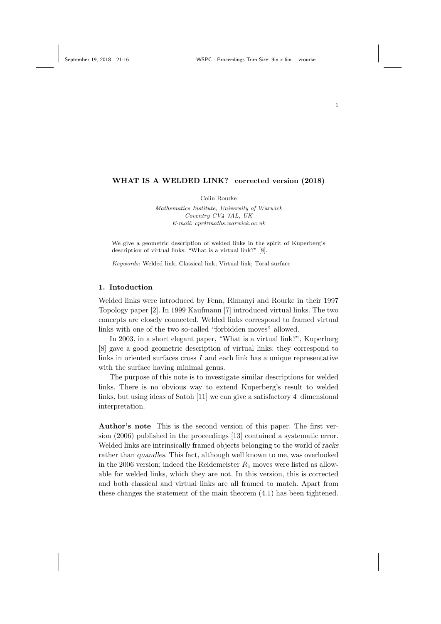#### WHAT IS A WELDED LINK? corrected version (2018)

Colin Rourke

Mathematics Institute, University of Warwick Coventry CV4 7AL, UK E-mail: cpr@maths.warwick.ac.uk

We give a geometric description of welded links in the spirit of Kuperberg's description of virtual links: "What is a virtual link?" [8].

Keywords: Welded link; Classical link; Virtual link; Toral surface

# 1. Intoduction

Welded links were introduced by Fenn, Rimanyi and Rourke in their 1997 Topology paper [2]. In 1999 Kaufmann [7] introduced virtual links. The two concepts are closely connected. Welded links correspond to framed virtual links with one of the two so-called "forbidden moves" allowed.

In 2003, in a short elegant paper, "What is a virtual link?", Kuperberg [8] gave a good geometric description of virtual links: they correspond to links in oriented surfaces cross  $I$  and each link has a unique representative with the surface having minimal genus.

The purpose of this note is to investigate similar descriptions for welded links. There is no obvious way to extend Kuperberg's result to welded links, but using ideas of Satoh [11] we can give a satisfactory 4–dimensional interpretation.

Author's note This is the second version of this paper. The first version (2006) published in the proceedings [13] contained a systematic error. Welded links are intrinsically framed objects belonging to the world of racks rather than quandles. This fact, although well known to me, was overlooked in the 2006 version; indeed the Reidemeister  $R_1$  moves were listed as allowable for welded links, which they are not. In this version, this is corrected and both classical and virtual links are all framed to match. Apart from these changes the statement of the main theorem (4.1) has been tightened.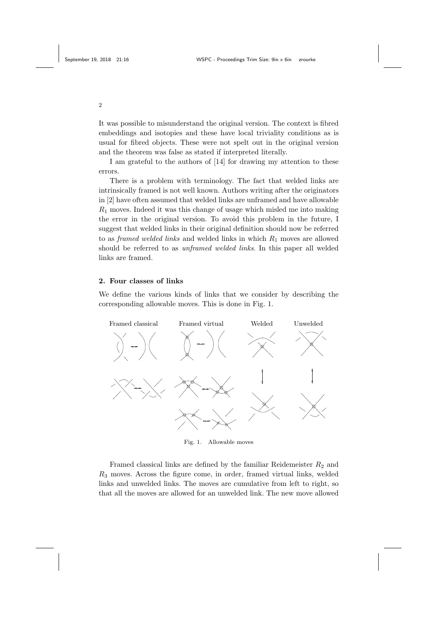It was possible to misunderstand the original version. The context is fibred embeddings and isotopies and these have local triviality conditions as is usual for fibred objects. These were not spelt out in the original version and the theorem was false as stated if interpreted literally.

I am grateful to the authors of [14] for drawing my attention to these errors.

There is a problem with terminology. The fact that welded links are intrinsically framed is not well known. Authors writing after the originators in [2] have often assumed that welded links are unframed and have allowable  $R_1$  moves. Indeed it was this change of usage which misled me into making the error in the original version. To avoid this problem in the future, I suggest that welded links in their original definition should now be referred to as *framed welded links* and welded links in which  $R_1$  moves are allowed should be referred to as unframed welded links. In this paper all welded links are framed.

### 2. Four classes of links

We define the various kinds of links that we consider by describing the corresponding allowable moves. This is done in Fig. 1.



Fig. 1. Allowable moves

Framed classical links are defined by the familiar Reidemeister  $R_2$  and  $R<sub>3</sub>$  moves. Across the figure come, in order, framed virtual links, welded links and unwelded links. The moves are cumulative from left to right, so that all the moves are allowed for an unwelded link. The new move allowed

2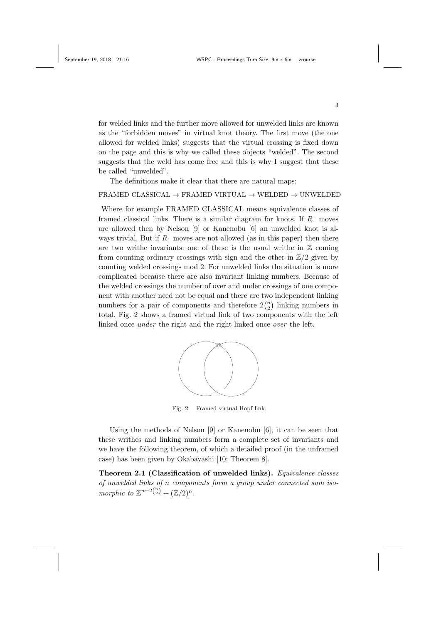for welded links and the further move allowed for unwelded links are known as the "forbidden moves" in virtual knot theory. The first move (the one allowed for welded links) suggests that the virtual crossing is fixed down on the page and this is why we called these objects "welded". The second suggests that the weld has come free and this is why I suggest that these be called "unwelded".

The definitions make it clear that there are natural maps:

#### FRAMED CLASSICAL  $\rightarrow$  FRAMED VIRTUAL  $\rightarrow$  WELDED  $\rightarrow$  UNWELDED

Where for example FRAMED CLASSICAL means equivalence classes of framed classical links. There is a similar diagram for knots. If  $R_1$  moves are allowed then by Nelson [9] or Kanenobu [6] an unwelded knot is always trivial. But if  $R_1$  moves are not allowed (as in this paper) then there are two writhe invariants: one of these is the usual writhe in  $\mathbb Z$  coming from counting ordinary crossings with sign and the other in  $\mathbb{Z}/2$  given by counting welded crossings mod 2. For unwelded links the situation is more complicated because there are also invariant linking numbers. Because of the welded crossings the number of over and under crossings of one component with another need not be equal and there are two independent linking numbers for a pair of components and therefore  $2\binom{n}{2}$  linking numbers in total. Fig. 2 shows a framed virtual link of two components with the left linked once *under* the right and the right linked once *over* the left.



Fig. 2. Framed virtual Hopf link

Using the methods of Nelson [9] or Kanenobu [6], it can be seen that these writhes and linking numbers form a complete set of invariants and we have the following theorem, of which a detailed proof (in the unframed case) has been given by Okabayashi [10; Theorem 8].

Theorem 2.1 (Classification of unwelded links). Equivalence classes of unwelded links of n components form a group under connected sum isomorphic to  $\mathbb{Z}^{n+2\binom{n}{2}} + (\mathbb{Z}/2)^n$ .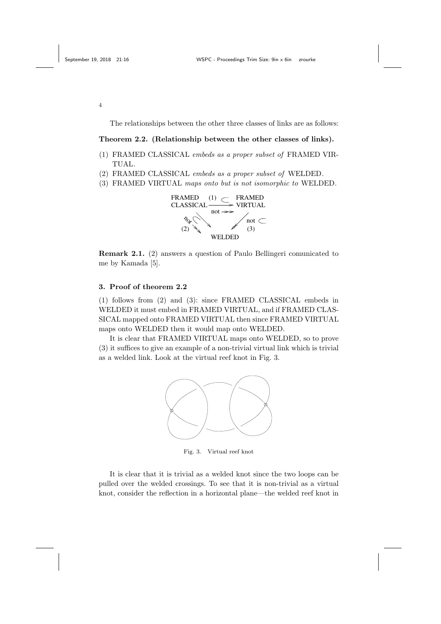The relationships between the other three classes of links are as follows:

#### Theorem 2.2. (Relationship between the other classes of links).

- (1) FRAMED CLASSICAL embeds as a proper subset of FRAMED VIR-TUAL.
- (2) FRAMED CLASSICAL embeds as a proper subset of WELDED.
- (3) FRAMED VIRTUAL maps onto but is not isomorphic to WELDED.



Remark 2.1. (2) answers a question of Paulo Bellingeri comunicated to me by Kamada [5].

## 3. Proof of theorem 2.2

(1) follows from (2) and (3): since FRAMED CLASSICAL embeds in WELDED it must embed in FRAMED VIRTUAL, and if FRAMED CLAS-SICAL mapped onto FRAMED VIRTUAL then since FRAMED VIRTUAL maps onto WELDED then it would map onto WELDED.

It is clear that FRAMED VIRTUAL maps onto WELDED, so to prove (3) it suffices to give an example of a non-trivial virtual link which is trivial as a welded link. Look at the virtual reef knot in Fig. 3.



Fig. 3. Virtual reef knot

It is clear that it is trivial as a welded knot since the two loops can be pulled over the welded crossings. To see that it is non-trivial as a virtual knot, consider the reflection in a horizontal plane—the welded reef knot in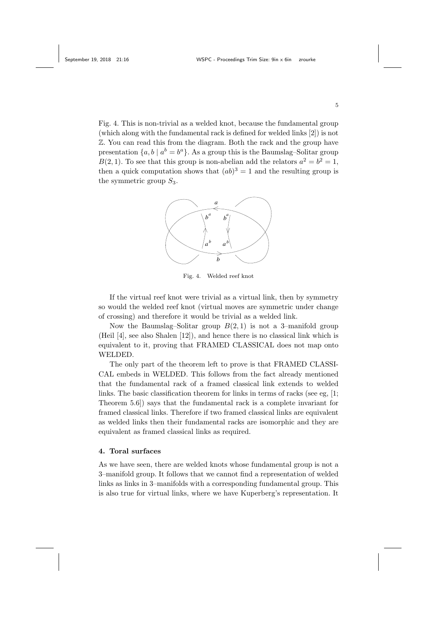Fig. 4. This is non-trivial as a welded knot, because the fundamental group (which along with the fundamental rack is defined for welded links [2]) is not Z. You can read this from the diagram. Both the rack and the group have presentation  $\{a, b \mid a^b = b^a\}$ . As a group this is the Baumslag–Solitar group  $B(2,1)$ . To see that this group is non-abelian add the relators  $a^2 = b^2 = 1$ , then a quick computation shows that  $(ab)^3 = 1$  and the resulting group is the symmetric group  $S_3$ .



Fig. 4. Welded reef knot

If the virtual reef knot were trivial as a virtual link, then by symmetry so would the welded reef knot (virtual moves are symmetric under change of crossing) and therefore it would be trivial as a welded link.

Now the Baumslag–Solitar group  $B(2, 1)$  is not a 3-manifold group (Heil [4], see also Shalen [12]), and hence there is no classical link which is equivalent to it, proving that FRAMED CLASSICAL does not map onto WELDED.

The only part of the theorem left to prove is that FRAMED CLASSI-CAL embeds in WELDED. This follows from the fact already mentioned that the fundamental rack of a framed classical link extends to welded links. The basic classification theorem for links in terms of racks (see eg, [1; Theorem 5.6]) says that the fundamental rack is a complete invariant for framed classical links. Therefore if two framed classical links are equivalent as welded links then their fundamental racks are isomorphic and they are equivalent as framed classical links as required.

### 4. Toral surfaces

As we have seen, there are welded knots whose fundamental group is not a 3–manifold group. It follows that we cannot find a representation of welded links as links in 3–manifolds with a corresponding fundamental group. This is also true for virtual links, where we have Kuperberg's representation. It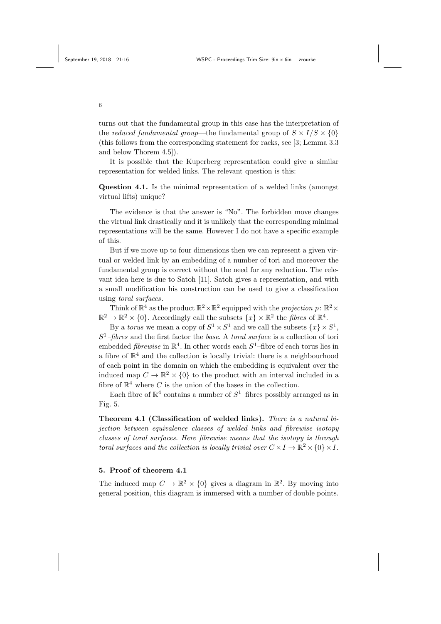turns out that the fundamental group in this case has the interpretation of the *reduced fundamental group*—the fundamental group of  $S \times I/S \times \{0\}$ (this follows from the corresponding statement for racks, see [3; Lemma 3.3 and below Thorem 4.5]).

It is possible that the Kuperberg representation could give a similar representation for welded links. The relevant question is this:

Question 4.1. Is the minimal representation of a welded links (amongst virtual lifts) unique?

The evidence is that the answer is "No". The forbidden move changes the virtual link drastically and it is unlikely that the corresponding minimal representations will be the same. However I do not have a specific example of this.

But if we move up to four dimensions then we can represent a given virtual or welded link by an embedding of a number of tori and moreover the fundamental group is correct without the need for any reduction. The relevant idea here is due to Satoh [11]. Satoh gives a representation, and with a small modification his construction can be used to give a classification using toral surfaces.

Think of  $\mathbb{R}^4$  as the product  $\mathbb{R}^2 \times \mathbb{R}^2$  equipped with the *projection*  $p: \mathbb{R}^2 \times$  $\mathbb{R}^2 \to \mathbb{R}^2 \times \{0\}$ . Accordingly call the subsets  $\{x\} \times \mathbb{R}^2$  the *fibres* of  $\mathbb{R}^4$ .

By a *torus* we mean a copy of  $S^1 \times S^1$  and we call the subsets  $\{x\} \times S^1$ ,  $S<sup>1</sup>$ -fibres and the first factor the base. A toral surface is a collection of tori embedded *fibrewise* in  $\mathbb{R}^4$ . In other words each  $S^1$ -fibre of each torus lies in a fibre of  $\mathbb{R}^4$  and the collection is locally trivial: there is a neighbourhood of each point in the domain on which the embedding is equivalent over the induced map  $C \to \mathbb{R}^2 \times \{0\}$  to the product with an interval included in a fibre of  $\mathbb{R}^4$  where C is the union of the bases in the collection.

Each fibre of  $\mathbb{R}^4$  contains a number of  $S^1$ -fibres possibly arranged as in Fig. 5.

Theorem 4.1 (Classification of welded links). There is a natural bijection between equivalence classes of welded links and fibrewise isotopy classes of toral surfaces. Here fibrewise means that the isotopy is through toral surfaces and the collection is locally trivial over  $C \times I \to \mathbb{R}^2 \times \{0\} \times I$ .

## 5. Proof of theorem 4.1

The induced map  $C \to \mathbb{R}^2 \times \{0\}$  gives a diagram in  $\mathbb{R}^2$ . By moving into general position, this diagram is immersed with a number of double points.

6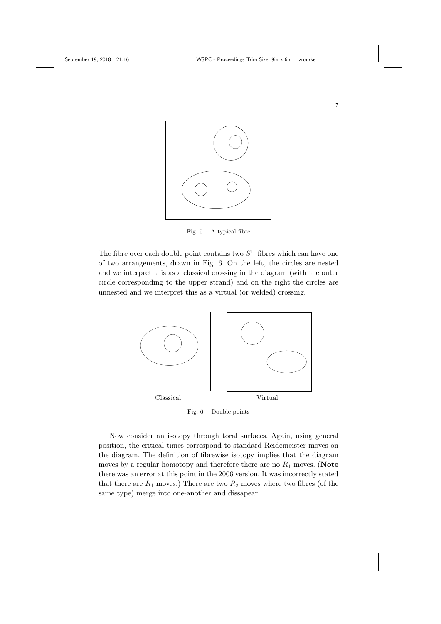

Fig. 5. A typical fibre

The fibre over each double point contains two  $S^1$ -fibres which can have one of two arrangements, drawn in Fig. 6. On the left, the circles are nested and we interpret this as a classical crossing in the diagram (with the outer circle corresponding to the upper strand) and on the right the circles are unnested and we interpret this as a virtual (or welded) crossing.



Fig. 6. Double points

Now consider an isotopy through toral surfaces. Again, using general position, the critical times correspond to standard Reidemeister moves on the diagram. The definition of fibrewise isotopy implies that the diagram moves by a regular homotopy and therefore there are no  $R_1$  moves. (Note there was an error at this point in the 2006 version. It was incorrectly stated that there are  $R_1$  moves.) There are two  $R_2$  moves where two fibres (of the same type) merge into one-another and dissapear.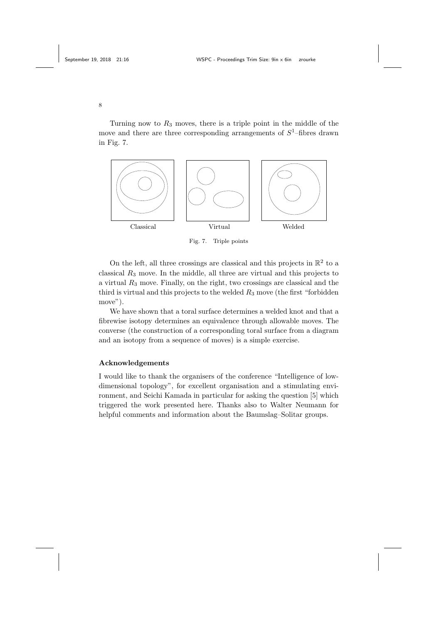Turning now to  $R_3$  moves, there is a triple point in the middle of the move and there are three corresponding arrangements of  $S^1$ -fibres drawn in Fig. 7.



Fig. 7. Triple points

On the left, all three crossings are classical and this projects in  $\mathbb{R}^2$  to a classical  $R_3$  move. In the middle, all three are virtual and this projects to a virtual  $R_3$  move. Finally, on the right, two crossings are classical and the third is virtual and this projects to the welded  $R_3$  move (the first "forbidden move").

We have shown that a toral surface determines a welded knot and that a fibrewise isotopy determines an equivalence through allowable moves. The converse (the construction of a corresponding toral surface from a diagram and an isotopy from a sequence of moves) is a simple exercise.

## Acknowledgements

I would like to thank the organisers of the conference "Intelligence of lowdimensional topology", for excellent organisation and a stimulating environment, and Seichi Kamada in particular for asking the question [5] which triggered the work presented here. Thanks also to Walter Neumann for helpful comments and information about the Baumslag–Solitar groups.